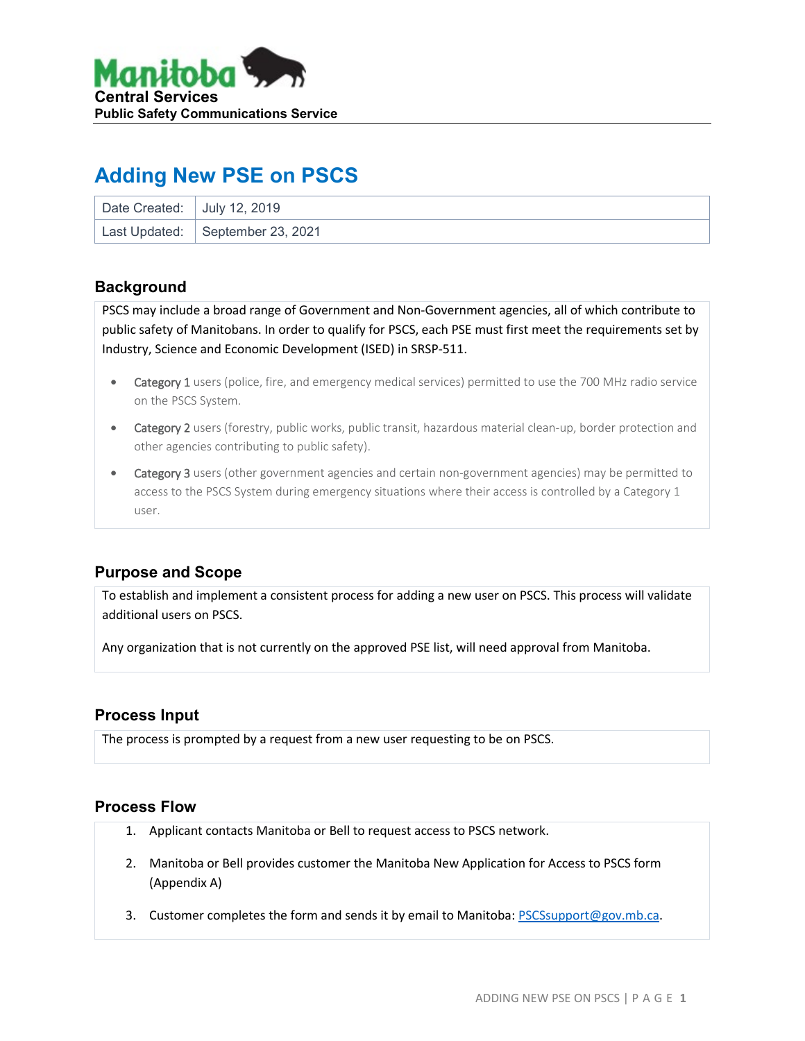

# **Adding New PSE on PSCS**

| Date Created: July 12, 2019 |                                  |
|-----------------------------|----------------------------------|
|                             | Last Updated: September 23, 2021 |

#### **Background**

PSCS may include a broad range of Government and Non-Government agencies, all of which contribute to public safety of Manitobans. In order to qualify for PSCS, each PSE must first meet the requirements set by Industry, Science and Economic Development (ISED) in SRSP-511.

- Category 1 users (police, fire, and emergency medical services) permitted to use the 700 MHz radio service on the PSCS System.
- Category 2 users (forestry, public works, public transit, hazardous material clean-up, border protection and other agencies contributing to public safety).
- Category 3 users (other government agencies and certain non-government agencies) may be permitted to access to the PSCS System during emergency situations where their access is controlled by a Category 1 user.

### **Purpose and Scope**

To establish and implement a consistent process for adding a new user on PSCS. This process will validate additional users on PSCS.

Any organization that is not currently on the approved PSE list, will need approval from Manitoba.

#### **Process Input**

The process is prompted by a request from a new user requesting to be on PSCS.

#### **Process Flow**

- 1. Applicant contacts Manitoba or Bell to request access to PSCS network.
- 2. Manitoba or Bell provides customer the Manitoba New Application for Access to PSCS form (Appendix A)
- 3. Customer completes the form and sends it by email to Manitoba:  $PSCS support@gov.mb.ca.$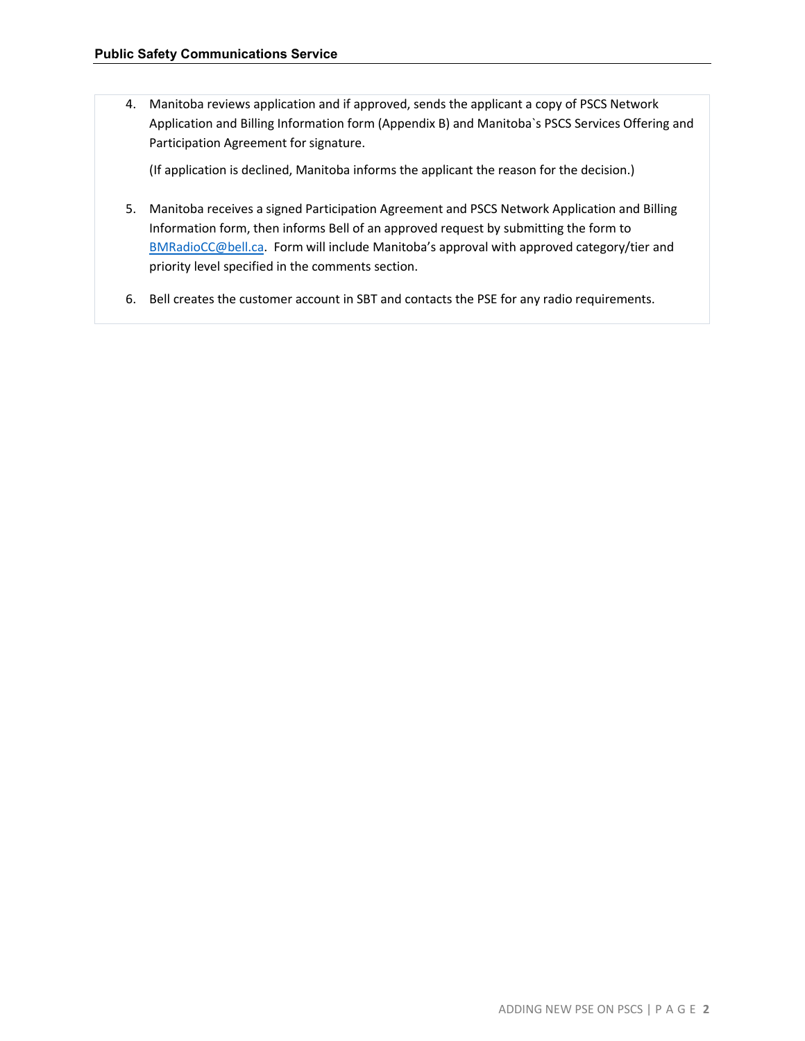4. Manitoba reviews application and if approved, sends the applicant a copy of PSCS Network Application and Billing Information form (Appendix B) and Manitoba`s PSCS Services Offering and Participation Agreement for signature.

(If application is declined, Manitoba informs the applicant the reason for the decision.)

- 5. Manitoba receives a signed Participation Agreement and PSCS Network Application and Billing Information form, then informs Bell of an approved request by submitting the form to [BMRadioCC@bell.ca.](mailto:BMRadioCC@bell.ca) Form will include Manitoba's approval with approved category/tier and priority level specified in the comments section.
- 6. Bell creates the customer account in SBT and contacts the PSE for any radio requirements.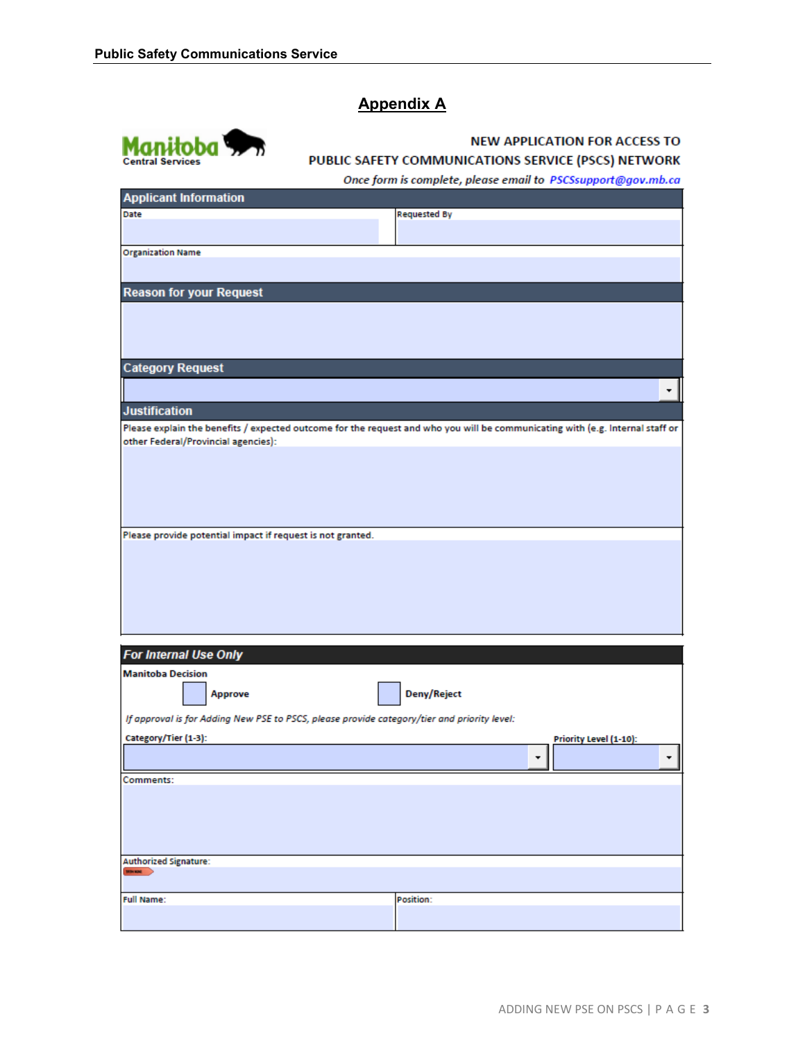## **Appendix A**



#### **NEW APPLICATION FOR ACCESS TO** PUBLIC SAFETY COMMUNICATIONS SERVICE (PSCS) NETWORK

Once form is complete, please email to PSCSsupport@gov.mb.ca

| <b>Applicant Information</b>                                                                |                                                                                                                               |
|---------------------------------------------------------------------------------------------|-------------------------------------------------------------------------------------------------------------------------------|
| Date                                                                                        | <b>Requested By</b>                                                                                                           |
|                                                                                             |                                                                                                                               |
|                                                                                             |                                                                                                                               |
| <b>Organization Name</b>                                                                    |                                                                                                                               |
|                                                                                             |                                                                                                                               |
| <b>Reason for your Request</b>                                                              |                                                                                                                               |
|                                                                                             |                                                                                                                               |
|                                                                                             |                                                                                                                               |
|                                                                                             |                                                                                                                               |
|                                                                                             |                                                                                                                               |
|                                                                                             |                                                                                                                               |
| <b>Category Request</b>                                                                     |                                                                                                                               |
|                                                                                             | ۰                                                                                                                             |
|                                                                                             |                                                                                                                               |
| <b>Justification</b>                                                                        |                                                                                                                               |
|                                                                                             | Please explain the benefits / expected outcome for the request and who you will be communicating with (e.g. Internal staff or |
| other Federal/Provincial agencies):                                                         |                                                                                                                               |
|                                                                                             |                                                                                                                               |
|                                                                                             |                                                                                                                               |
|                                                                                             |                                                                                                                               |
|                                                                                             |                                                                                                                               |
|                                                                                             |                                                                                                                               |
|                                                                                             |                                                                                                                               |
| Please provide potential impact if request is not granted.                                  |                                                                                                                               |
|                                                                                             |                                                                                                                               |
|                                                                                             |                                                                                                                               |
|                                                                                             |                                                                                                                               |
|                                                                                             |                                                                                                                               |
|                                                                                             |                                                                                                                               |
|                                                                                             |                                                                                                                               |
|                                                                                             |                                                                                                                               |
| <b>For Internal Use Only</b>                                                                |                                                                                                                               |
|                                                                                             |                                                                                                                               |
| <b>Manitoba Decision</b>                                                                    |                                                                                                                               |
| Approve                                                                                     | Deny/Reject                                                                                                                   |
|                                                                                             |                                                                                                                               |
| If approval is for Adding New PSE to PSCS, please provide category/tier and priority level: |                                                                                                                               |
| Category/Tier (1-3):                                                                        | Priority Level (1-10):                                                                                                        |
|                                                                                             |                                                                                                                               |
|                                                                                             | ۰<br>٠                                                                                                                        |
| Comments:                                                                                   |                                                                                                                               |
|                                                                                             |                                                                                                                               |
|                                                                                             |                                                                                                                               |
|                                                                                             |                                                                                                                               |
|                                                                                             |                                                                                                                               |
|                                                                                             |                                                                                                                               |
| <b>Authorized Signature:</b>                                                                |                                                                                                                               |
| <b>Minima</b>                                                                               |                                                                                                                               |
|                                                                                             |                                                                                                                               |
| <b>Full Name:</b>                                                                           | Position:                                                                                                                     |
|                                                                                             |                                                                                                                               |
|                                                                                             |                                                                                                                               |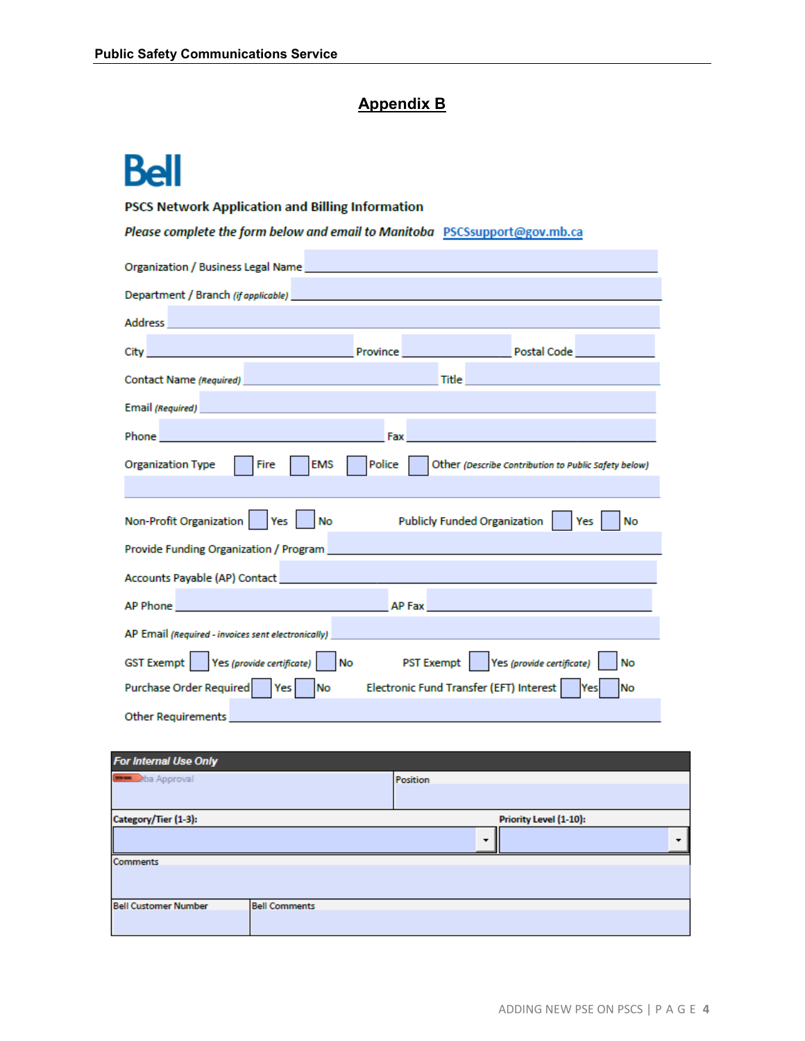## **Appendix B**

# **Bell**

#### **PSCS Network Application and Billing Information**

Please complete the form below and email to Manitoba PSCSsupport@gov.mb.ca

| Address and the company of the company of the company                                                                                                                                                                                                                                        |  |  |  |  |  |  |
|----------------------------------------------------------------------------------------------------------------------------------------------------------------------------------------------------------------------------------------------------------------------------------------------|--|--|--|--|--|--|
|                                                                                                                                                                                                                                                                                              |  |  |  |  |  |  |
| <b>Title Contract Contract Contract Contract Contract Contract Contract Contract Contract Contract Contract Contract Contract Contract Contract Contract Contract Contract Contract Contract Contract Contract Contract Contra</b><br>Contact Name (Required) <b>Contact Name (Required)</b> |  |  |  |  |  |  |
| Email (Required) <b>Example 2018 Contract Contract Contract Contract Contract Contract Contract Contract Contract Contract Contract Contract Contract Contract Contract Contract Contract Contract Contract Contract Contract </b>                                                           |  |  |  |  |  |  |
|                                                                                                                                                                                                                                                                                              |  |  |  |  |  |  |
| Fire<br><b>EMS</b><br>Police   Other (Describe Contribution to Public Safety below)<br>Organization Type                                                                                                                                                                                     |  |  |  |  |  |  |
| Non-Profit Organization   Yes   No<br>Publicly Funded Organization     Yes  <br><b>No</b>                                                                                                                                                                                                    |  |  |  |  |  |  |
| Provide Funding Organization / Program <b>contract of the Contract of Contract Contract of Contract Organization</b>                                                                                                                                                                         |  |  |  |  |  |  |
|                                                                                                                                                                                                                                                                                              |  |  |  |  |  |  |
| AP Phone and the contract of the contract of the contract of the contract of the contract of the contract of the<br>AP Fax and the state of the state of the state of the state of the state of the state of the state of the state                                                          |  |  |  |  |  |  |
| AP Email (Required - invoices sent electronically)                                                                                                                                                                                                                                           |  |  |  |  |  |  |
| GST Exempt   Yes (provide certificate)   No<br>PST Exempt   Yes (provide certificate)<br>No                                                                                                                                                                                                  |  |  |  |  |  |  |
| Purchase Order Required   Yes   No<br>Electronic Fund Transfer (EFT) Interest   Yes<br>No                                                                                                                                                                                                    |  |  |  |  |  |  |
| <b>Other Requirements</b>                                                                                                                                                                                                                                                                    |  |  |  |  |  |  |

| For Internal Use Only                          |                      |          |  |  |  |
|------------------------------------------------|----------------------|----------|--|--|--|
| <b>DOWN</b> 2ba Approval                       |                      | Position |  |  |  |
|                                                |                      |          |  |  |  |
| Category/Tier (1-3):<br>Priority Level (1-10): |                      |          |  |  |  |
|                                                |                      | ▼        |  |  |  |
| <b>Comments</b>                                |                      |          |  |  |  |
|                                                |                      |          |  |  |  |
| <b>Bell Customer Number</b>                    | <b>Bell Comments</b> |          |  |  |  |
|                                                |                      |          |  |  |  |